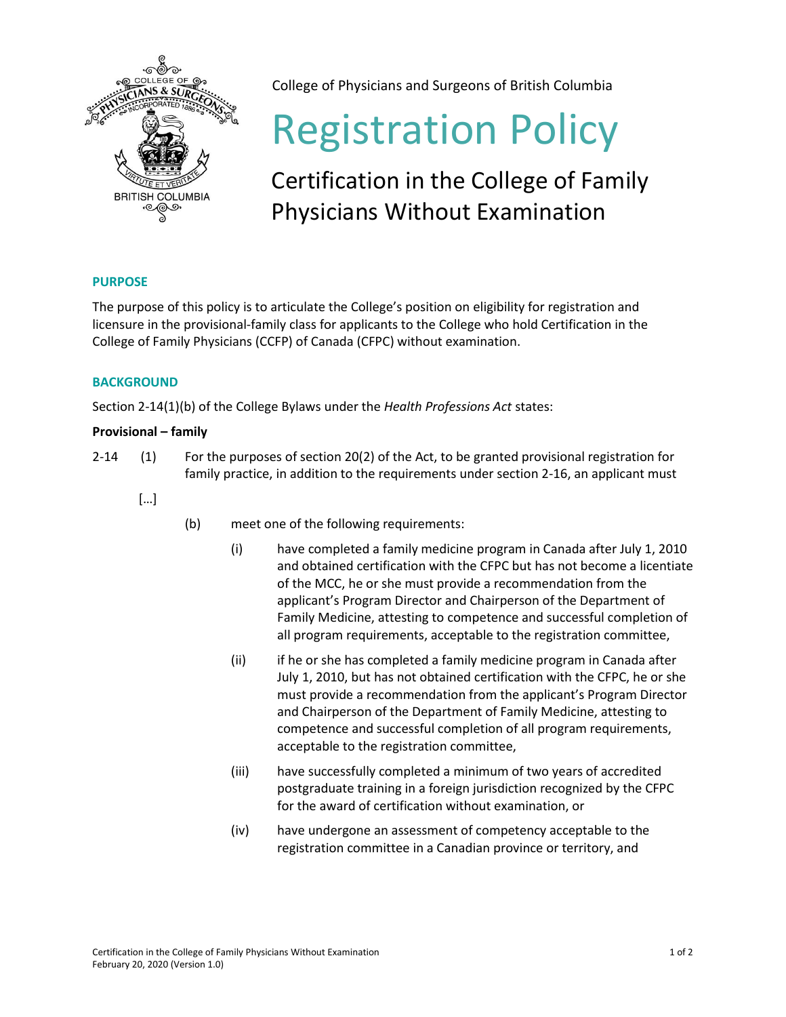

College of Physicians and Surgeons of British Columbia

# Registration Policy

## Certification in the College of Family Physicians Without Examination

### **PURPOSE**

The purpose of this policy is to articulate the College's position on eligibility for registration and licensure in the provisional-family class for applicants to the College who hold Certification in the College of Family Physicians (CCFP) of Canada (CFPC) without examination.

#### **BACKGROUND**

Section 2-14(1)(b) of the College Bylaws under the *Health Professions Act* states:

#### **Provisional – family**

- 2-14 (1) For the purposes of section 20(2) of the Act, to be granted provisional registration for family practice, in addition to the requirements under section 2-16, an applicant must
	- […]
- (b) meet one of the following requirements:
	- (i) have completed a family medicine program in Canada after July 1, 2010 and obtained certification with the CFPC but has not become a licentiate of the MCC, he or she must provide a recommendation from the applicant's Program Director and Chairperson of the Department of Family Medicine, attesting to competence and successful completion of all program requirements, acceptable to the registration committee,
	- (ii) if he or she has completed a family medicine program in Canada after July 1, 2010, but has not obtained certification with the CFPC, he or she must provide a recommendation from the applicant's Program Director and Chairperson of the Department of Family Medicine, attesting to competence and successful completion of all program requirements, acceptable to the registration committee,
	- (iii) have successfully completed a minimum of two years of accredited postgraduate training in a foreign jurisdiction recognized by the CFPC for the award of certification without examination, or
	- (iv) have undergone an assessment of competency acceptable to the registration committee in a Canadian province or territory, and